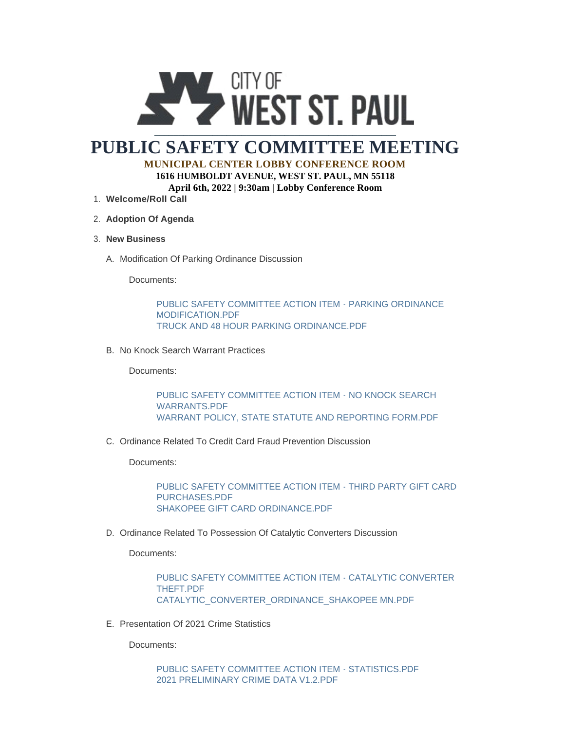

# **PUBLIC SAFETY COMMITTEE MEETING MUNICIPAL CENTER LOBBY CONFERENCE ROOM**

**1616 HUMBOLDT AVENUE, WEST ST. PAUL, MN 55118 April 6th, 2022 | 9:30am | Lobby Conference Room**

- **Welcome/Roll Call** 1.
- **Adoption Of Agenda** 2.
- **New Business** 3.
	- A. Modification Of Parking Ordinance Discussion

Documents:

[PUBLIC SAFETY COMMITTEE ACTION ITEM - PARKING ORDINANCE](https://wspmn.gov/AgendaCenter/ViewFile/Item/12745?fileID=19747)  MODIFICATION.PDF [TRUCK AND 48 HOUR PARKING ORDINANCE.PDF](https://wspmn.gov/AgendaCenter/ViewFile/Item/12745?fileID=19748)

B. No Knock Search Warrant Practices

Documents:

[PUBLIC SAFETY COMMITTEE ACTION ITEM - NO KNOCK SEARCH](https://wspmn.gov/AgendaCenter/ViewFile/Item/12748?fileID=19743)  WARRANTS.PDF [WARRANT POLICY, STATE STATUTE AND REPORTING FORM.PDF](https://wspmn.gov/AgendaCenter/ViewFile/Item/12748?fileID=19744)

C. Ordinance Related To Credit Card Fraud Prevention Discussion

Documents:

[PUBLIC SAFETY COMMITTEE ACTION ITEM - THIRD PARTY GIFT CARD](https://wspmn.gov/AgendaCenter/ViewFile/Item/12746?fileID=19745)  PURCHASES.PDF [SHAKOPEE GIFT CARD ORDINANCE.PDF](https://wspmn.gov/AgendaCenter/ViewFile/Item/12746?fileID=19746)

D. Ordinance Related To Possession Of Catalytic Converters Discussion

Documents:

[PUBLIC SAFETY COMMITTEE ACTION ITEM - CATALYTIC CONVERTER](https://wspmn.gov/AgendaCenter/ViewFile/Item/12747?fileID=19723)  THEFT.PDF [CATALYTIC\\_CONVERTER\\_ORDINANCE\\_SHAKOPEE MN.PDF](https://wspmn.gov/AgendaCenter/ViewFile/Item/12747?fileID=19724)

E. Presentation Of 2021 Crime Statistics

Documents:

[PUBLIC SAFETY COMMITTEE ACTION ITEM - STATISTICS.PDF](https://wspmn.gov/AgendaCenter/ViewFile/Item/12750?fileID=19719) [2021 PRELIMINARY CRIME DATA V1.2.PDF](https://wspmn.gov/AgendaCenter/ViewFile/Item/12750?fileID=19720)